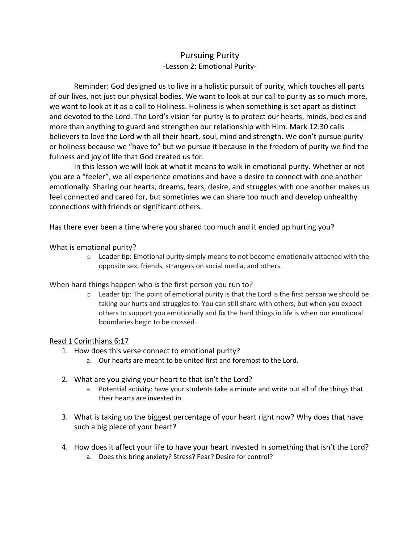## Pursuing Purity -Lesson 2: Emotional Purity-

Reminder: God designed us to live in a holistic pursuit of purity, which touches all parts of our lives, not just our physical bodies. We want to look at our call to purity as so much more, we want to look at it as a call to Holiness. Holiness is when something is set apart as distinct and devoted to the Lord. The Lord's vision for purity is to protect our hearts, minds, bodies and more than anything to guard and strengthen our relationship with Him. Mark 12:30 calls believers to love the Lord with all their heart, soul, mind and strength. We don't pursue purity or holiness because we "have to" but we pursue it because in the freedom of purity we find the fullness and joy of life that God created us for.

In this lesson we will look at what it means to walk in emotional purity. Whether or not you are a "feeler", we all experience emotions and have a desire to connect with one another emotionally. Sharing our hearts, dreams, fears, desire, and struggles with one another makes us feel connected and cared for, but sometimes we can share too much and develop unhealthy connections with friends or significant others.

Has there ever been a time where you shared too much and it ended up hurting you?

What is emotional purity?

o Leader tip: Emotional purity simply means to not become emotionally attached with the opposite sex, friends, strangers on social media, and others.

When hard things happen who is the first person you run to?

o Leader tip: The point of emotional purity is that the Lord is the first person we should be taking our hurts and struggles to. You can still share with others, but when you expect others to support you emotionally and fix the hard things in life is when our emotional boundaries begin to be crossed.

## Read 1 Corinthians 6:17

- 1. How does this verse connect to emotional purity?
	- a. Our hearts are meant to be united first and foremost to the Lord.
- 2. What are you giving your heart to that isn't the Lord?
	- a. Potential activity: have your students take a minute and write out all of the things that their hearts are invested in.
- 3. What is taking up the biggest percentage of your heart right now? Why does that have such a big piece of your heart?
- 4. How does it affect your life to have your heart invested in something that isn't the Lord? a. Does this bring anxiety? Stress? Fear? Desire for control?